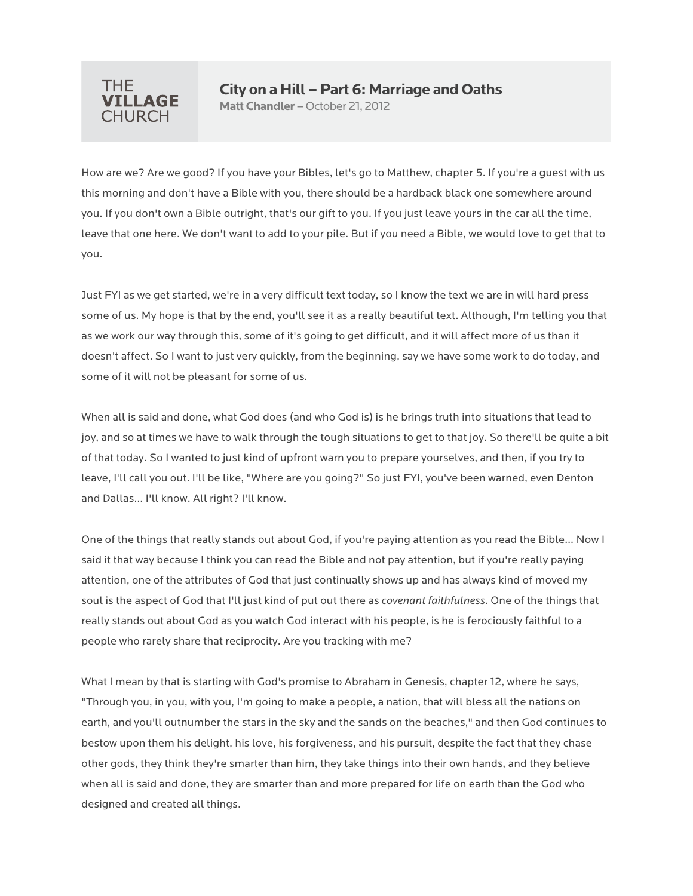

## **City on a Hill –Part 6: Marriage and Oaths**

**Matt Chandler –**October 21, 2012

How are we? Are we good? If you have your Bibles, let's go to Matthew, chapter 5. If you're a guest with us this morning and don't have a Bible with you, there should be a hardback black one somewhere around you. If you don't own a Bible outright, that's our gift to you. If you just leave yours in the car all the time, leave that one here. We don't want to add to your pile. But if you need a Bible, we would love to get that to you.

Just FYI as we get started, we're in a very difficult text today, so I know the text we are in will hard press some of us. My hope is that by the end, you'll see it as a really beautiful text. Although, I'm telling you that as we work our way through this, some of it's going to get difficult, and it will affect more of us than it doesn't affect. So I want to just very quickly, from the beginning, say we have some work to do today, and some of it will not be pleasant for some of us.

When all is said and done, what God does (and who God is) is he brings truth into situations that lead to joy, and so at times we have to walk through the tough situations to get to that joy. So there'll be quite a bit of that today. So I wanted to just kind of upfront warn you to prepare yourselves, and then, if you try to leave, I'll call you out. I'll be like, "Where are you going?" So just FYI, you've been warned, even Denton and Dallas… I'll know. All right? I'll know.

One of the things that really stands out about God, if you're paying attention as you read the Bible… Now I said it that way because I think you can read the Bible and not pay attention, but if you're really paying attention, one of the attributes of God that just continually shows up and has always kind of moved my soul is the aspect of God that I'll just kind of put out there as *covenant faithfulness*. One of the things that really stands out about God as you watch God interact with his people, is he is ferociously faithful to a people who rarely share that reciprocity. Are you tracking with me?

What I mean by that is starting with God's promise to Abraham in Genesis, chapter 12, where he says, "Through you, in you, with you, I'm going to make a people, a nation, that will bless all the nations on earth, and you'll outnumber the stars in the sky and the sands on the beaches," and then God continues to bestow upon them his delight, his love, his forgiveness, and his pursuit, despite the fact that they chase other gods, they think they're smarter than him, they take things into their own hands, and they believe when all is said and done, they are smarter than and more prepared for life on earth than the God who designed and created all things.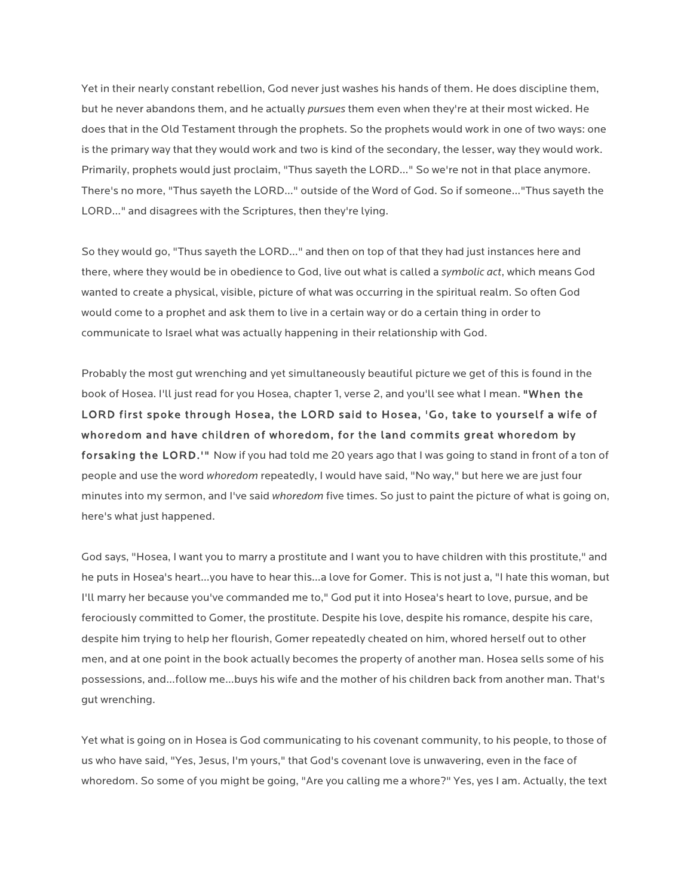Yet in their nearly constant rebellion, God never just washes his hands of them. He does discipline them, but he never abandons them, and he actually *pursues* them even when they're at their most wicked. He does that in the Old Testament through the prophets. So the prophets would work in one of two ways: one is the primary way that they would work and two is kind of the secondary, the lesser, way they would work. Primarily, prophets would just proclaim, "Thus sayeth the LORD…" So we're not in that place anymore. There's no more, "Thus sayeth the LORD…" outside of the Word of God. So if someone…"Thus sayeth the LORD…" and disagrees with the Scriptures, then they're lying.

So they would go, "Thus sayeth the LORD…" and then on top of that they had just instances here and there, where they would be in obedience to God, live out what is called a *symbolic act*, which means God wanted to create a physical, visible, picture of what was occurring in the spiritual realm. So often God would come to a prophet and ask them to live in a certain way or do a certain thing in order to communicate to Israel what was actually happening in their relationship with God.

Probably the most gut wrenching and yet simultaneously beautiful picture we get of this is found in the book of Hosea. I'll just read for you Hosea, chapter 1, verse 2, and you'll see what I mean. "When the LORD first spoke through Hosea, the LORD said to Hosea, 'Go, take to yourself a wife of whoredom and have children of whoredom, for the land commits great whoredom by forsaking the LORD.'" Now if you had told me 20 years ago that I was going to stand in front of a ton of people and use the word *whoredom* repeatedly, I would have said, "No way," but here we are just four minutes into my sermon, and I've said *whoredom* five times. So just to paint the picture of what is going on, here's what just happened.

God says, "Hosea, I want you to marry a prostitute and I want you to have children with this prostitute," and he puts in Hosea's heart…you have to hear this…a love for Gomer. This is not just a, "I hate this woman, but I'll marry her because you've commanded me to," God put it into Hosea's heart to love, pursue, and be ferociously committed to Gomer, the prostitute. Despite his love, despite his romance, despite his care, despite him trying to help her flourish, Gomer repeatedly cheated on him, whored herself out to other men, and at one point in the book actually becomes the property of another man. Hosea sells some of his possessions, and…follow me…buys his wife and the mother of his children back from another man. That's gut wrenching.

Yet what is going on in Hosea is God communicating to his covenant community, to his people, to those of us who have said, "Yes, Jesus, I'm yours," that God's covenant love is unwavering, even in the face of whoredom. So some of you might be going, "Are you calling me a whore?" Yes, yes I am. Actually, the text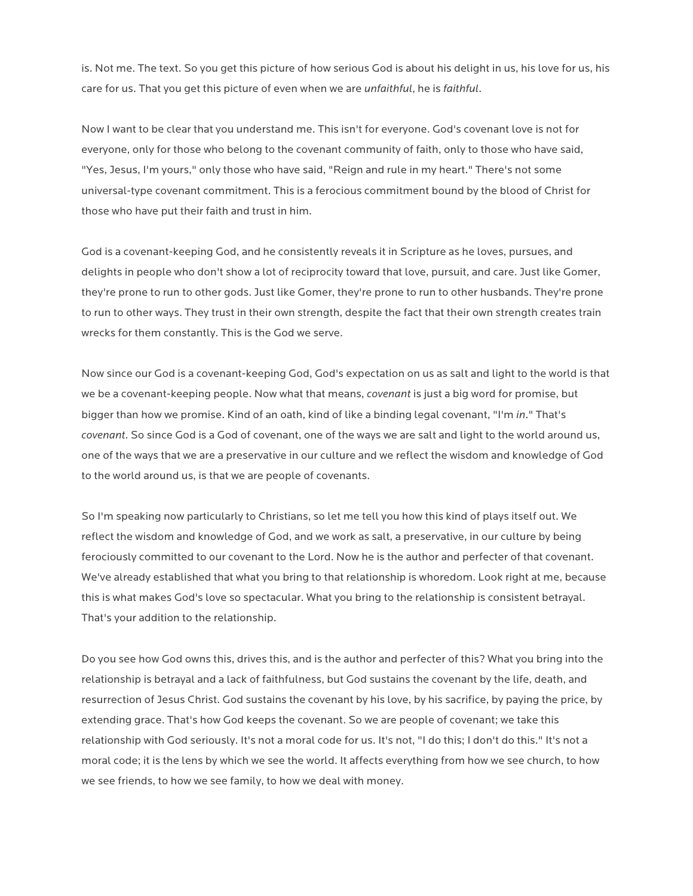is. Not me. The text. So you get this picture of how serious God is about his delight in us, his love for us, his care for us. That you get this picture of even when we are *unfaithful*, he is *faithful*.

Now I want to be clear that you understand me. This isn't for everyone. God's covenant love is not for everyone, only for those who belong to the covenant community of faith, only to those who have said, "Yes, Jesus, I'm yours," only those who have said, "Reign and rule in my heart." There's not some universal-type covenant commitment. This is a ferocious commitment bound by the blood of Christ for those who have put their faith and trust in him.

God is a covenant-keeping God, and he consistently reveals it in Scripture as he loves, pursues, and delights in people who don't show a lot of reciprocity toward that love, pursuit, and care. Just like Gomer, they're prone to run to other gods. Just like Gomer, they're prone to run to other husbands. They're prone to run to other ways. They trust in their own strength, despite the fact that their own strength creates train wrecks for them constantly. This is the God we serve.

Now since our God is a covenant-keeping God, God's expectation on us as salt and light to the world is that we be a covenant-keeping people. Now what that means, *covenant* is just a big word for promise, but bigger than how we promise. Kind of an oath, kind of like a binding legal covenant, "I'm *in*." That's *covenant.* So since God is a God of covenant, one of the ways we are salt and light to the world around us, one of the ways that we are a preservative in our culture and we reflect the wisdom and knowledge of God to the world around us, is that we are people of covenants.

So I'm speaking now particularly to Christians, so let me tell you how this kind of plays itself out. We reflect the wisdom and knowledge of God, and we work as salt, a preservative, in our culture by being ferociously committed to our covenant to the Lord. Now he is the author and perfecter of that covenant. We've already established that what you bring to that relationship is whoredom. Look right at me, because this is what makes God's love so spectacular. What you bring to the relationship is consistent betrayal. That's your addition to the relationship.

Do you see how God owns this, drives this, and is the author and perfecter of this? What you bring into the relationship is betrayal and a lack of faithfulness, but God sustains the covenant by the life, death, and resurrection of Jesus Christ. God sustains the covenant by his love, by his sacrifice, by paying the price, by extending grace. That's how God keeps the covenant. So we are people of covenant; we take this relationship with God seriously. It's not a moral code for us. It's not, "I do this; I don't do this." It's not a moral code; it is the lens by which we see the world. It affects everything from how we see church, to how we see friends, to how we see family, to how we deal with money.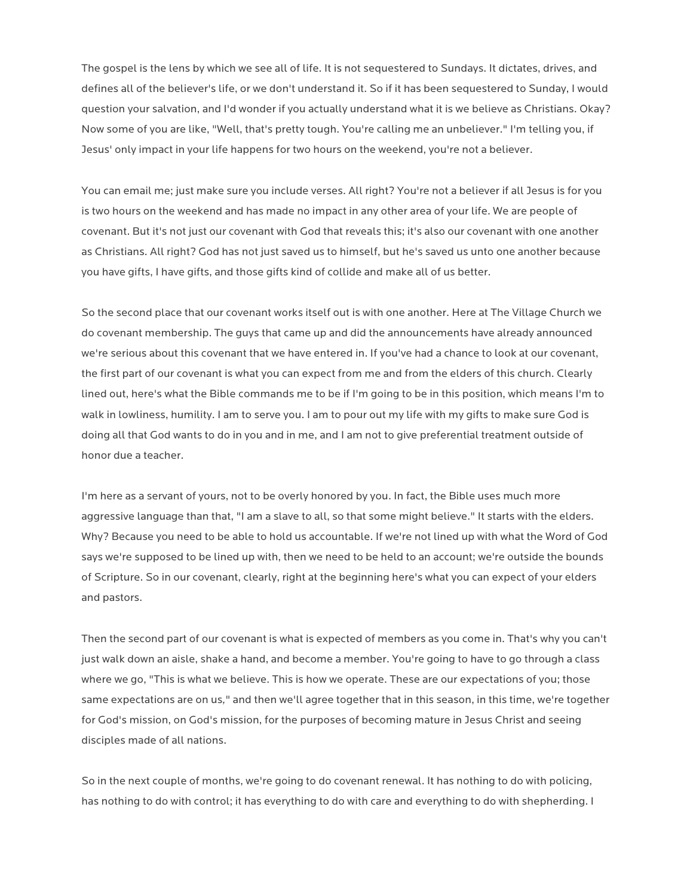The gospel is the lens by which we see all of life. It is not sequestered to Sundays. It dictates, drives, and defines all of the believer's life, or we don't understand it. So if it has been sequestered to Sunday, I would question your salvation, and I'd wonder if you actually understand what it is we believe as Christians. Okay? Now some of you are like, "Well, that's pretty tough. You're calling me an unbeliever." I'm telling you, if Jesus' only impact in your life happens for two hours on the weekend, you're not a believer.

You can email me; just make sure you include verses. All right? You're not a believer if all Jesus is for you is two hours on the weekend and has made no impact in any other area of your life. We are people of covenant. But it's not just our covenant with God that reveals this; it's also our covenant with one another as Christians. All right? God has not just saved us to himself, but he's saved us unto one another because you have gifts, I have gifts, and those gifts kind of collide and make all of us better.

So the second place that our covenant works itself out is with one another. Here at The Village Church we do covenant membership. The guys that came up and did the announcements have already announced we're serious about this covenant that we have entered in. If you've had a chance to look at our covenant, the first part of our covenant is what you can expect from me and from the elders of this church. Clearly lined out, here's what the Bible commands me to be if I'm going to be in this position, which means I'm to walk in lowliness, humility. I am to serve you. I am to pour out my life with my gifts to make sure God is doing all that God wants to do in you and in me, and I am not to give preferential treatment outside of honor due a teacher.

I'm here as a servant of yours, not to be overly honored by you. In fact, the Bible uses much more aggressive language than that, "I am a slave to all, so that some might believe." It starts with the elders. Why? Because you need to be able to hold us accountable. If we're not lined up with what the Word of God says we're supposed to be lined up with, then we need to be held to an account; we're outside the bounds of Scripture. So in our covenant, clearly, right at the beginning here's what you can expect of your elders and pastors.

Then the second part of our covenant is what is expected of members as you come in. That's why you can't just walk down an aisle, shake a hand, and become a member. You're going to have to go through a class where we go, "This is what we believe. This is how we operate. These are our expectations of you; those same expectations are on us*,*" and then we'll agree together that in this season, in this time, we're together for God's mission, on God's mission, for the purposes of becoming mature in Jesus Christ and seeing disciples made of all nations.

So in the next couple of months, we're going to do covenant renewal. It has nothing to do with policing, has nothing to do with control; it has everything to do with care and everything to do with shepherding. I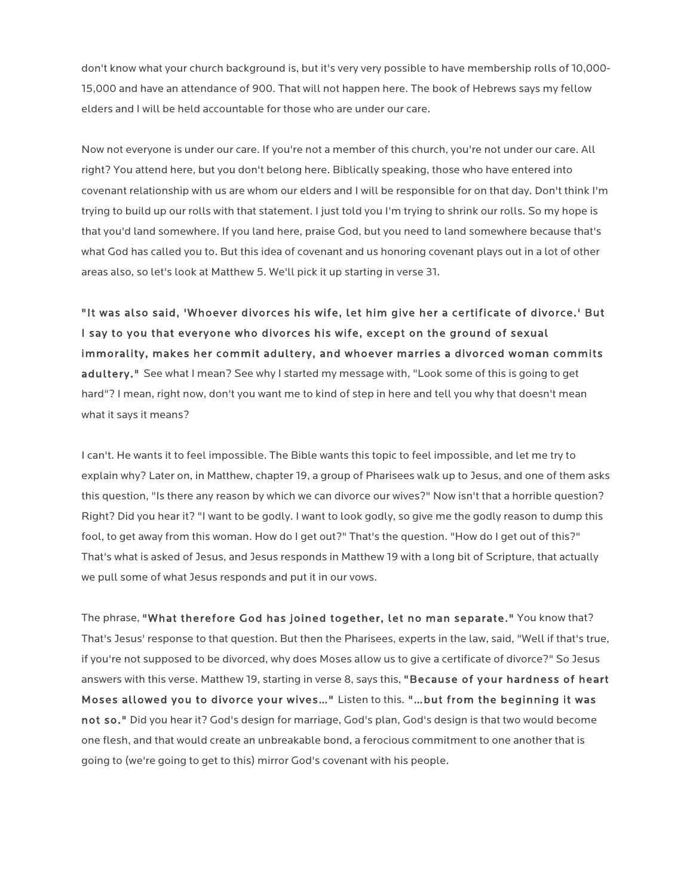don't know what your church background is, but it's very very possible to have membership rolls of 10,000- 15,000 and have an attendance of 900. That will not happen here. The book of Hebrews says my fellow elders and I will be held accountable for those who are under our care.

Now not everyone is under our care. If you're not a member of this church, you're not under our care. All right? You attend here, but you don't belong here. Biblically speaking, those who have entered into covenant relationship with us are whom our elders and I will be responsible for on that day. Don't think I'm trying to build up our rolls with that statement. I just told you I'm trying to shrink our rolls. So my hope is that you'd land somewhere. If you land here, praise God, but you need to land somewhere because that's what God has called you to. But this idea of covenant and us honoring covenant plays out in a lot of other areas also, so let's look at Matthew 5. We'll pick it up starting in verse 31.

"It was also said, 'Whoever divorces his wife, let him give her a certificate of divorce.' But I say to you that everyone who divorces his wife, except on the ground of sexual immorality, makes her commit adultery, and whoever marries a divorced woman commits adultery." See what I mean? See why I started my message with, "Look some of this is going to get hard"? I mean, right now, don't you want me to kind of step in here and tell you why that doesn't mean what it says it means?

I can't. He wants it to feel impossible. The Bible wants this topic to feel impossible, and let me try to explain why? Later on, in Matthew, chapter 19, a group of Pharisees walk up to Jesus, and one of them asks this question, "Is there any reason by which we can divorce our wives?" Now isn't that a horrible question? Right? Did you hear it? "I want to be godly. I want to look godly, so give me the godly reason to dump this fool, to get away from this woman. How do I get out?" That's the question. "How do I get out of this?" That's what is asked of Jesus, and Jesus responds in Matthew 19 with a long bit of Scripture, that actually we pull some of what Jesus responds and put it in our vows.

The phrase, "What therefore God has joined together, let no man separate." You know that? That's Jesus' response to that question. But then the Pharisees, experts in the law, said, "Well if that's true, if you're not supposed to be divorced, why does Moses allow us to give a certificate of divorce?" So Jesus answers with this verse. Matthew 19, starting in verse 8, says this, "Because of your hardness of heart Moses allowed you to divorce your wives…" Listen to this. "…but from the beginning it was not so." Did you hear it? God's design for marriage, God's plan, God's design is that two would become one flesh, and that would create an unbreakable bond, a ferocious commitment to one another that is going to (we're going to get to this) mirror God's covenant with his people.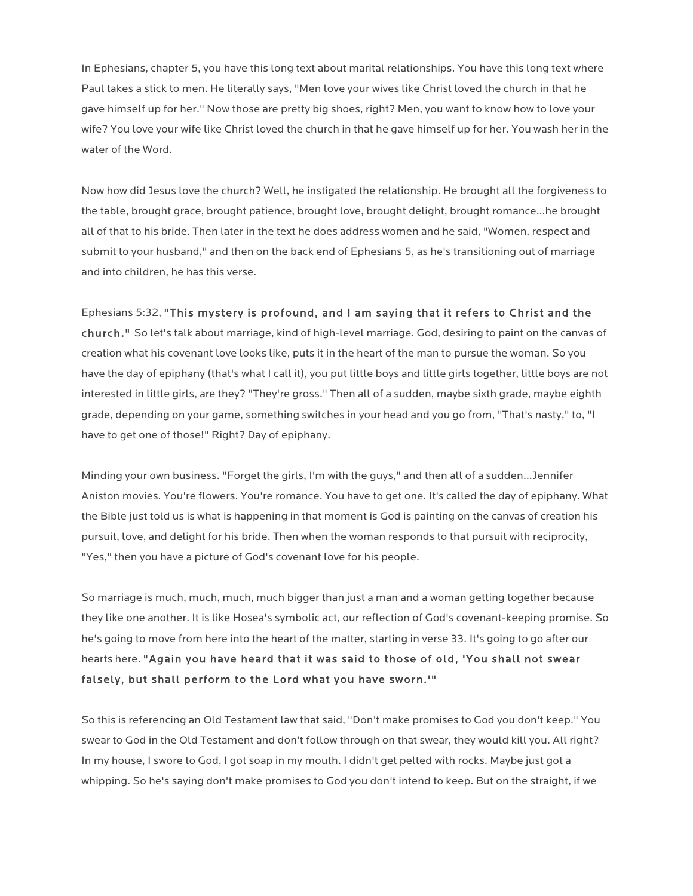In Ephesians, chapter 5, you have this long text about marital relationships. You have this long text where Paul takes a stick to men. He literally says, "Men love your wives like Christ loved the church in that he gave himself up for her." Now those are pretty big shoes, right? Men, you want to know how to love your wife? You love your wife like Christ loved the church in that he gave himself up for her. You wash her in the water of the Word.

Now how did Jesus love the church? Well, he instigated the relationship. He brought all the forgiveness to the table, brought grace, brought patience, brought love, brought delight, brought romance…he brought all of that to his bride. Then later in the text he does address women and he said, "Women, respect and submit to your husband," and then on the back end of Ephesians 5, as he's transitioning out of marriage and into children, he has this verse.

Ephesians 5:32, "This mystery is profound, and I am saying that it refers to Christ and the

church." So let's talk about marriage, kind of high-level marriage. God, desiring to paint on the canvas of creation what his covenant love looks like, puts it in the heart of the man to pursue the woman. So you have the day of epiphany (that's what I call it), you put little boys and little girls together, little boys are not interested in little girls, are they? "They're gross." Then all of a sudden, maybe sixth grade, maybe eighth grade, depending on your game, something switches in your head and you go from, "That's nasty," to, "I have to get one of those!" Right? Day of epiphany.

Minding your own business. "Forget the girls, I'm with the guys," and then all of a sudden…Jennifer Aniston movies. You're flowers. You're romance. You have to get one. It's called the day of epiphany. What the Bible just told us is what is happening in that moment is God is painting on the canvas of creation his pursuit, love, and delight for his bride. Then when the woman responds to that pursuit with reciprocity, "Yes," then you have a picture of God's covenant love for his people.

So marriage is much, much, much, much bigger than just a man and a woman getting together because they like one another. It is like Hosea's symbolic act, our reflection of God's covenant-keeping promise. So he's going to move from here into the heart of the matter, starting in verse 33. It's going to go after our hearts here. "Again you have heard that it was said to those of old, 'You shall not swear falsely, but shall perform to the Lord what you have sworn.'"

So this is referencing an Old Testament law that said, "Don't make promises to God you don't keep." You swear to God in the Old Testament and don't follow through on that swear, they would kill you. All right? In my house, I swore to God, I got soap in my mouth. I didn't get pelted with rocks. Maybe just got a whipping. So he's saying don't make promises to God you don't intend to keep. But on the straight, if we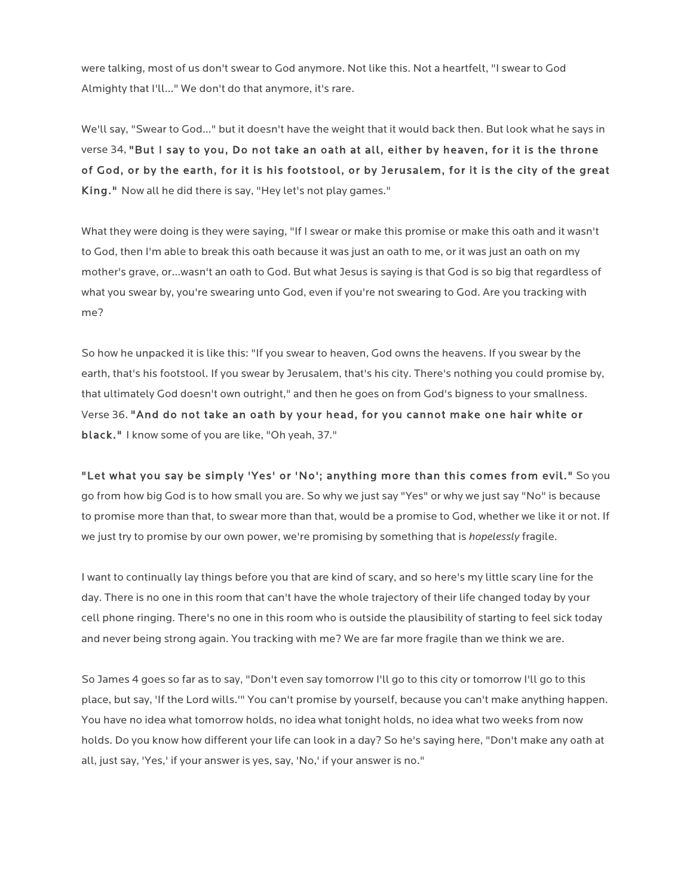were talking, most of us don't swear to God anymore. Not like this. Not a heartfelt, "I swear to God Almighty that I'll…" We don't do that anymore, it's rare.

We'll say, "Swear to God…" but it doesn't have the weight that it would back then. But look what he says in verse 34, "But I say to you, Do not take an oath at all, either by heaven, for it is the throne of God, or by the earth, for it is his footstool, or by Jerusalem, for it is the city of the great King." Now all he did there is say, "Hey let's not play games."

What they were doing is they were saying, "If I swear or make this promise or make this oath and it wasn't to God, then I'm able to break this oath because it was just an oath to me, or it was just an oath on my mother's grave, or…wasn't an oath to God. But what Jesus is saying is that God is so big that regardless of what you swear by, you're swearing unto God, even if you're not swearing to God. Are you tracking with me?

So how he unpacked it is like this: "If you swear to heaven, God owns the heavens. If you swear by the earth, that's his footstool. If you swear by Jerusalem, that's his city. There's nothing you could promise by, that ultimately God doesn't own outright," and then he goes on from God's bigness to your smallness. Verse 36. "And do not take an oath by your head, for you cannot make one hair white or black." I know some of you are like, "Oh yeah, 37."

"Let what you say be simply 'Yes' or 'No'; anything more than this comes from evil." So you go from how big God is to how small you are. So why we just say "Yes" or why we just say "No" is because to promise more than that, to swear more than that, would be a promise to God, whether we like it or not. If we just try to promise by our own power, we're promising by something that is *hopelessly* fragile.

I want to continually lay things before you that are kind of scary, and so here's my little scary line for the day. There is no one in this room that can't have the whole trajectory of their life changed today by your cell phone ringing. There's no one in this room who is outside the plausibility of starting to feel sick today and never being strong again. You tracking with me? We are far more fragile than we think we are.

So James 4 goes so far as to say, "Don't even say tomorrow I'll go to this city or tomorrow I'll go to this place, but say, 'If the Lord wills.'" You can't promise by yourself, because you can't make anything happen. You have no idea what tomorrow holds, no idea what tonight holds, no idea what two weeks from now holds. Do you know how different your life can look in a day? So he's saying here, "Don't make any oath at all, just say, 'Yes,' if your answer is yes, say, 'No,' if your answer is no."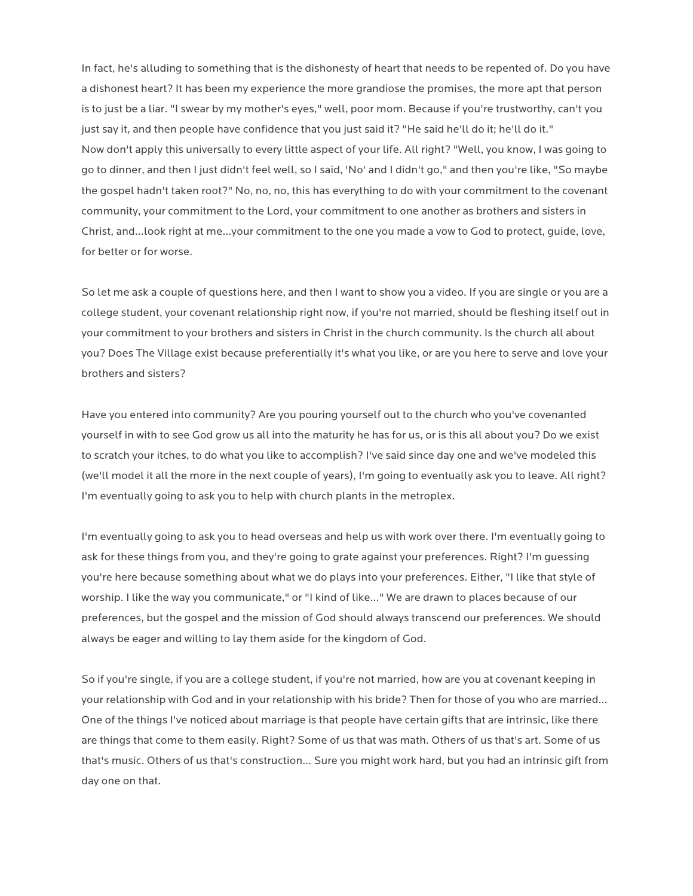In fact, he's alluding to something that is the dishonesty of heart that needs to be repented of. Do you have a dishonest heart? It has been my experience the more grandiose the promises, the more apt that person is to just be a liar. "I swear by my mother's eyes," well, poor mom. Because if you're trustworthy, can't you just say it, and then people have confidence that you just said it? "He said he'll do it; he'll do it." Now don't apply this universally to every little aspect of your life. All right? "Well, you know, I was going to go to dinner, and then I just didn't feel well, so I said, 'No' and I didn't go," and then you're like, "So maybe the gospel hadn't taken root?" No, no, no, this has everything to do with your commitment to the covenant community, your commitment to the Lord, your commitment to one another as brothers and sisters in Christ, and…look right at me…your commitment to the one you made a vow to God to protect, guide, love, for better or for worse.

So let me ask a couple of questions here, and then I want to show you a video. If you are single or you are a college student, your covenant relationship right now, if you're not married, should be fleshing itself out in your commitment to your brothers and sisters in Christ in the church community. Is the church all about you? Does The Village exist because preferentially it's what you like, or are you here to serve and love your brothers and sisters?

Have you entered into community? Are you pouring yourself out to the church who you've covenanted yourself in with to see God grow us all into the maturity he has for us, or is this all about you? Do we exist to scratch your itches, to do what you like to accomplish? I've said since day one and we've modeled this (we'll model it all the more in the next couple of years), I'm going to eventually ask you to leave. All right? I'm eventually going to ask you to help with church plants in the metroplex.

I'm eventually going to ask you to head overseas and help us with work over there. I'm eventually going to ask for these things from you, and they're going to grate against your preferences. Right? I'm guessing you're here because something about what we do plays into your preferences. Either, "I like that style of worship. I like the way you communicate," or "I kind of like…" We are drawn to places because of our preferences, but the gospel and the mission of God should always transcend our preferences. We should always be eager and willing to lay them aside for the kingdom of God.

So if you're single, if you are a college student, if you're not married, how are you at covenant keeping in your relationship with God and in your relationship with his bride? Then for those of you who are married… One of the things I've noticed about marriage is that people have certain gifts that are intrinsic, like there are things that come to them easily. Right? Some of us that was math. Others of us that's art. Some of us that's music. Others of us that's construction… Sure you might work hard, but you had an intrinsic gift from day one on that.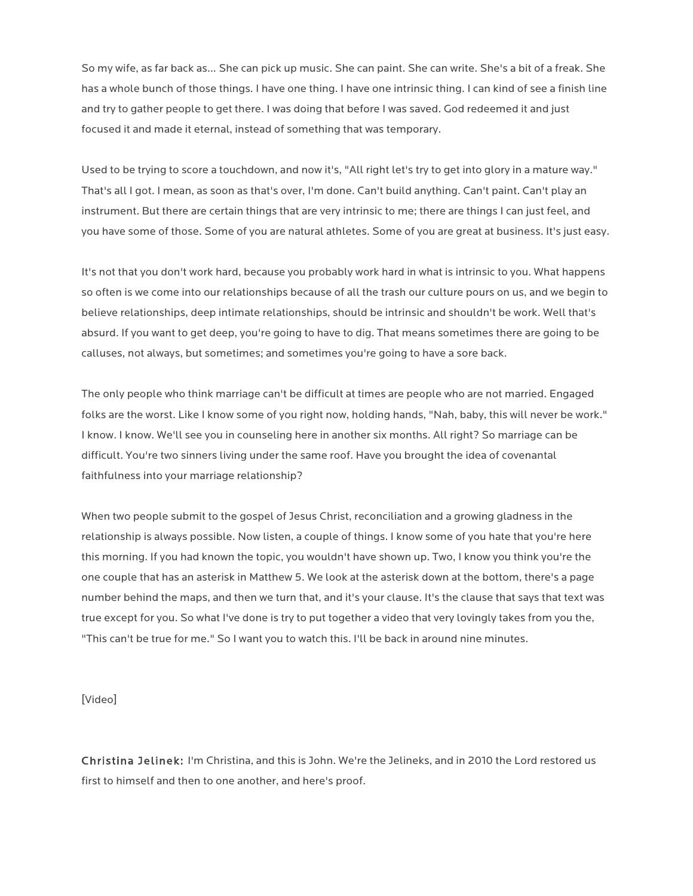So my wife, as far back as… She can pick up music. She can paint. She can write. She's a bit of a freak. She has a whole bunch of those things. I have one thing. I have one intrinsic thing. I can kind of see a finish line and try to gather people to get there. I was doing that before I was saved. God redeemed it and just focused it and made it eternal, instead of something that was temporary.

Used to be trying to score a touchdown, and now it's, "All right let's try to get into glory in a mature way." That's all I got. I mean, as soon as that's over, I'm done. Can't build anything. Can't paint. Can't play an instrument. But there are certain things that are very intrinsic to me; there are things I can just feel, and you have some of those. Some of you are natural athletes. Some of you are great at business. It's just easy.

It's not that you don't work hard, because you probably work hard in what is intrinsic to you. What happens so often is we come into our relationships because of all the trash our culture pours on us, and we begin to believe relationships, deep intimate relationships, should be intrinsic and shouldn't be work. Well that's absurd. If you want to get deep, you're going to have to dig. That means sometimes there are going to be calluses, not always, but sometimes; and sometimes you're going to have a sore back.

The only people who think marriage can't be difficult at times are people who are not married. Engaged folks are the worst. Like I know some of you right now, holding hands, "Nah, baby, this will never be work." I know. I know. We'll see you in counseling here in another six months. All right? So marriage can be difficult. You're two sinners living under the same roof. Have you brought the idea of covenantal faithfulness into your marriage relationship?

When two people submit to the gospel of Jesus Christ, reconciliation and a growing gladness in the relationship is always possible. Now listen, a couple of things. I know some of you hate that you're here this morning. If you had known the topic, you wouldn't have shown up. Two, I know you think you're the one couple that has an asterisk in Matthew 5. We look at the asterisk down at the bottom, there's a page number behind the maps, and then we turn that, and it's your clause. It's the clause that says that text was true except for you. So what I've done is try to put together a video that very lovingly takes from you the, "This can't be true for me." So I want you to watch this. I'll be back in around nine minutes.

[Video]

Christina Jelinek: I'm Christina, and this is John. We're the Jelineks, and in 2010 the Lord restored us first to himself and then to one another, and here's proof.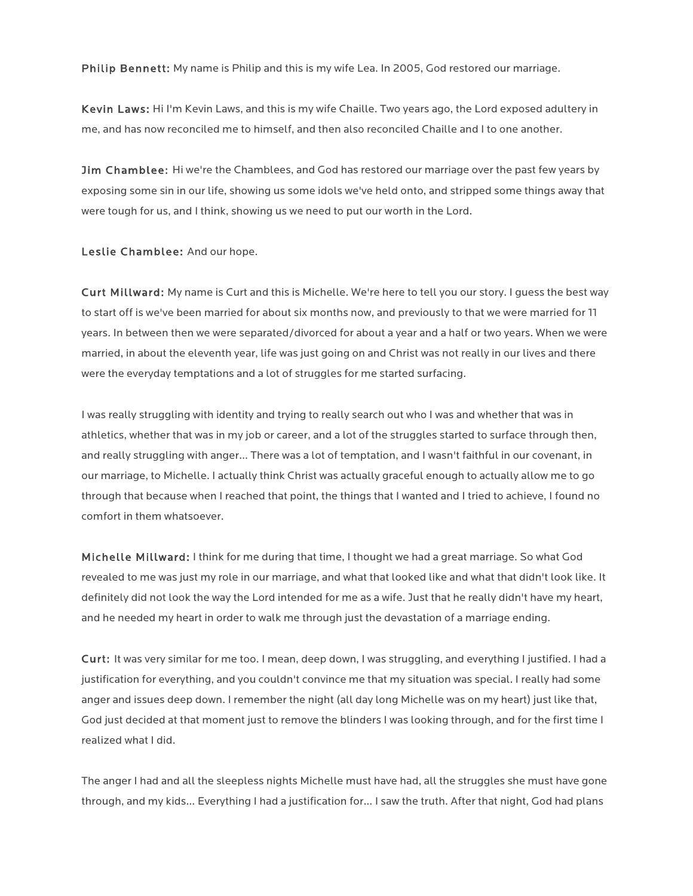Philip Bennett: My name is Philip and this is my wife Lea. In 2005, God restored our marriage.

Kevin Laws: Hi I'm Kevin Laws, and this is my wife Chaille. Two years ago, the Lord exposed adultery in me, and has now reconciled me to himself, and then also reconciled Chaille and I to one another.

**Jim Chamblee:** Hi we're the Chamblees, and God has restored our marriage over the past few years by exposing some sin in our life, showing us some idols we've held onto, and stripped some things away that were tough for us, and I think, showing us we need to put our worth in the Lord.

Leslie Chamblee: And our hope.

Curt Millward: My name is Curt and this is Michelle. We're here to tell you our story. I guess the best way to start off is we've been married for about six months now, and previously to that we were married for 11 years. In between then we were separated/divorced for about a year and a half or two years. When we were married, in about the eleventh year, life was just going on and Christ was not really in our lives and there were the everyday temptations and a lot of struggles for me started surfacing.

I was really struggling with identity and trying to really search out who I was and whether that was in athletics, whether that was in my job or career, and a lot of the struggles started to surface through then, and really struggling with anger… There was a lot of temptation, and I wasn't faithful in our covenant, in our marriage, to Michelle. I actually think Christ was actually graceful enough to actually allow me to go through that because when I reached that point, the things that I wanted and I tried to achieve, I found no comfort in them whatsoever.

Michelle Millward: I think for me during that time, I thought we had a great marriage. So what God revealed to me was just my role in our marriage, and what that looked like and what that didn't look like. It definitely did not look the way the Lord intended for me as a wife. Just that he really didn't have my heart, and he needed my heart in order to walk me through just the devastation of a marriage ending.

Curt: It was very similar for me too. I mean, deep down, I was struggling, and everything I justified. I had a justification for everything, and you couldn't convince me that my situation was special. I really had some anger and issues deep down. I remember the night (all day long Michelle was on my heart) just like that, God just decided at that moment just to remove the blinders I was looking through, and for the first time I realized what I did.

The anger I had and all the sleepless nights Michelle must have had, all the struggles she must have gone through, and my kids… Everything I had a justification for… I saw the truth. After that night, God had plans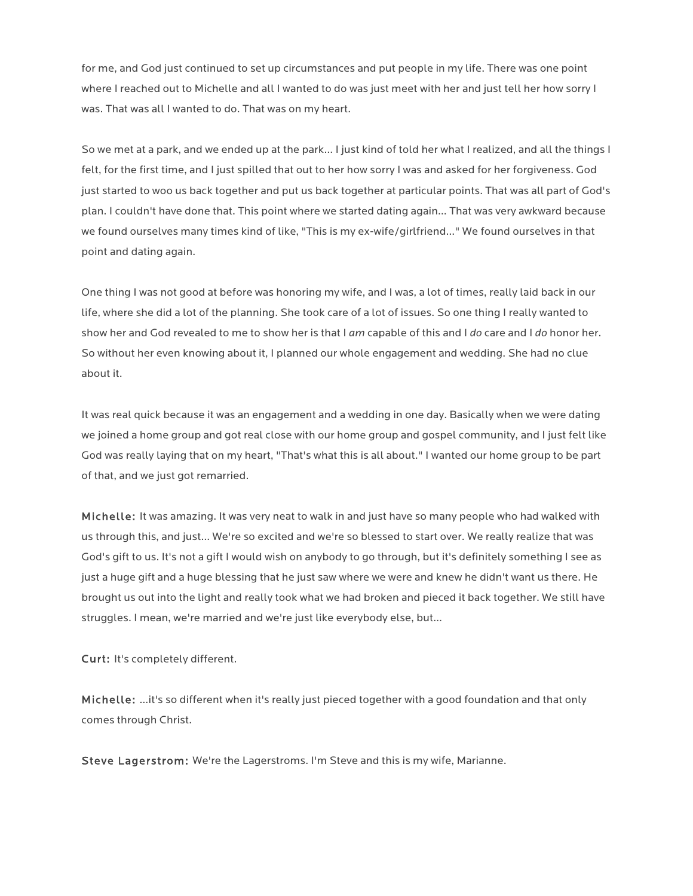for me, and God just continued to set up circumstances and put people in my life. There was one point where I reached out to Michelle and all I wanted to do was just meet with her and just tell her how sorry I was. That was all I wanted to do. That was on my heart.

So we met at a park, and we ended up at the park… I just kind of told her what I realized, and all the things I felt, for the first time, and I just spilled that out to her how sorry I was and asked for her forgiveness. God just started to woo us back together and put us back together at particular points. That was all part of God's plan. I couldn't have done that. This point where we started dating again… That was very awkward because we found ourselves many times kind of like, "This is my ex-wife/girlfriend…" We found ourselves in that point and dating again.

One thing I was not good at before was honoring my wife, and I was, a lot of times, really laid back in our life, where she did a lot of the planning. She took care of a lot of issues. So one thing I really wanted to show her and God revealed to me to show her is that I *am* capable of this and I *do* care and I *do* honor her. So without her even knowing about it, I planned our whole engagement and wedding. She had no clue about it.

It was real quick because it was an engagement and a wedding in one day. Basically when we were dating we joined a home group and got real close with our home group and gospel community, and I just felt like God was really laying that on my heart, "That's what this is all about." I wanted our home group to be part of that, and we just got remarried.

Michelle: It was amazing. It was very neat to walk in and just have so many people who had walked with us through this, and just… We're so excited and we're so blessed to start over. We really realize that was God's gift to us. It's not a gift I would wish on anybody to go through, but it's definitely something I see as just a huge gift and a huge blessing that he just saw where we were and knew he didn't want us there. He brought us out into the light and really took what we had broken and pieced it back together. We still have struggles. I mean, we're married and we're just like everybody else, but…

Curt: It's completely different.

Michelle: …it's so different when it's really just pieced together with a good foundation and that only comes through Christ.

Steve Lagerstrom: We're the Lagerstroms. I'm Steve and this is my wife, Marianne.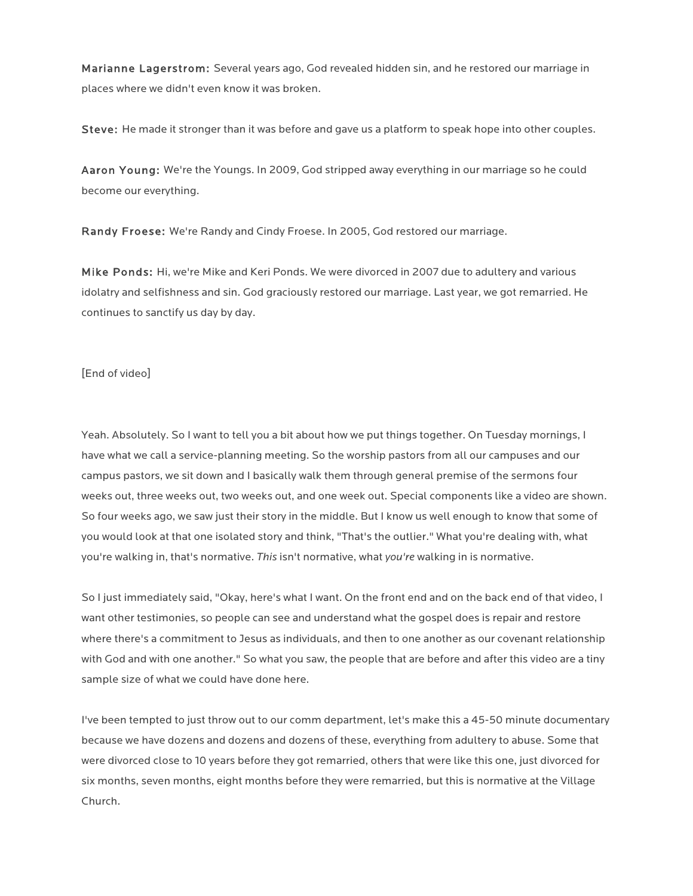Marianne Lagerstrom: Several years ago, God revealed hidden sin, and he restored our marriage in places where we didn't even know it was broken.

Steve: He made it stronger than it was before and gave us a platform to speak hope into other couples.

Aaron Young: We're the Youngs. In 2009, God stripped away everything in our marriage so he could become our everything.

Randy Froese: We're Randy and Cindy Froese. In 2005, God restored our marriage.

Mike Ponds: Hi, we're Mike and Keri Ponds. We were divorced in 2007 due to adultery and various idolatry and selfishness and sin. God graciously restored our marriage. Last year, we got remarried. He continues to sanctify us day by day.

[End of video]

Yeah. Absolutely. So I want to tell you a bit about how we put things together. On Tuesday mornings, I have what we call a service-planning meeting. So the worship pastors from all our campuses and our campus pastors, we sit down and I basically walk them through general premise of the sermons four weeks out, three weeks out, two weeks out, and one week out. Special components like a video are shown. So four weeks ago, we saw just their story in the middle. But I know us well enough to know that some of you would look at that one isolated story and think, "That's the outlier." What you're dealing with, what you're walking in, that's normative. *This* isn't normative, what *you're* walking in is normative.

So I just immediately said, "Okay, here's what I want. On the front end and on the back end of that video, I want other testimonies, so people can see and understand what the gospel does is repair and restore where there's a commitment to Jesus as individuals, and then to one another as our covenant relationship with God and with one another." So what you saw, the people that are before and after this video are a tiny sample size of what we could have done here.

I've been tempted to just throw out to our comm department, let's make this a 45-50 minute documentary because we have dozens and dozens and dozens of these, everything from adultery to abuse. Some that were divorced close to 10 years before they got remarried, others that were like this one, just divorced for six months, seven months, eight months before they were remarried, but this is normative at the Village Church.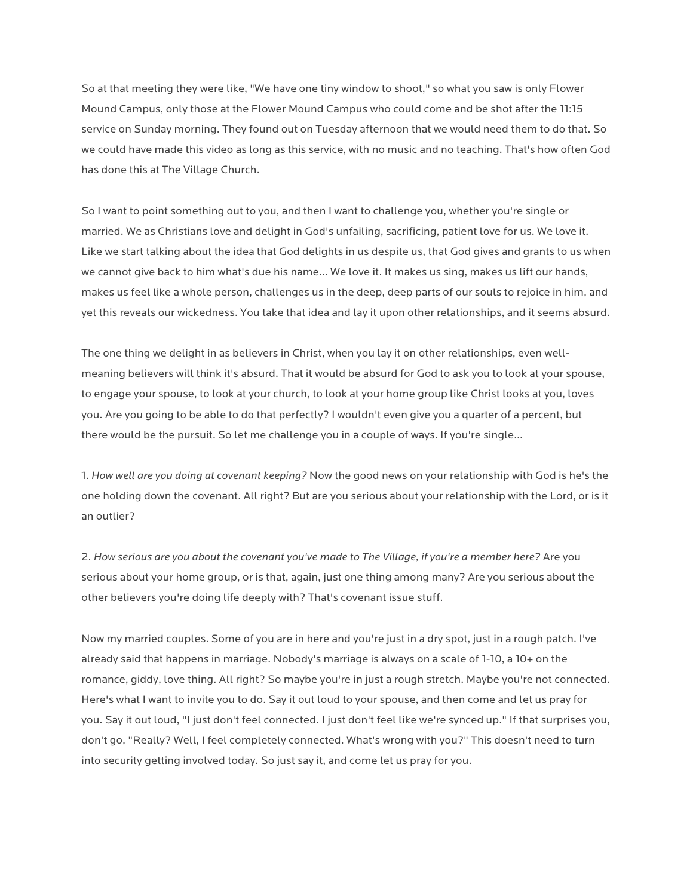So at that meeting they were like, "We have one tiny window to shoot," so what you saw is only Flower Mound Campus, only those at the Flower Mound Campus who could come and be shot after the 11:15 service on Sunday morning. They found out on Tuesday afternoon that we would need them to do that. So we could have made this video as long as this service, with no music and no teaching. That's how often God has done this at The Village Church.

So I want to point something out to you, and then I want to challenge you, whether you're single or married. We as Christians love and delight in God's unfailing, sacrificing, patient love for us. We love it. Like we start talking about the idea that God delights in us despite us, that God gives and grants to us when we cannot give back to him what's due his name… We love it. It makes us sing, makes us lift our hands, makes us feel like a whole person, challenges us in the deep, deep parts of our souls to rejoice in him, and yet this reveals our wickedness. You take that idea and lay it upon other relationships, and it seems absurd.

The one thing we delight in as believers in Christ, when you lay it on other relationships, even wellmeaning believers will think it's absurd. That it would be absurd for God to ask you to look at your spouse, to engage your spouse, to look at your church, to look at your home group like Christ looks at you, loves you. Are you going to be able to do that perfectly? I wouldn't even give you a quarter of a percent, but there would be the pursuit. So let me challenge you in a couple of ways. If you're single…

1. *How well are you doing at covenant keeping?* Now the good news on your relationship with God is he's the one holding down the covenant. All right? But are you serious about your relationship with the Lord, or is it an outlier?

2. *How serious are you about the covenant you've made to The Village, if you're a member here?* Are you serious about your home group, or is that, again, just one thing among many? Are you serious about the other believers you're doing life deeply with? That's covenant issue stuff.

Now my married couples. Some of you are in here and you're just in a dry spot, just in a rough patch. I've already said that happens in marriage. Nobody's marriage is always on a scale of 1-10, a 10+ on the romance, giddy, love thing. All right? So maybe you're in just a rough stretch. Maybe you're not connected. Here's what I want to invite you to do. Say it out loud to your spouse, and then come and let us pray for you. Say it out loud, "I just don't feel connected. I just don't feel like we're synced up." If that surprises you, don't go, "Really? Well, I feel completely connected. What's wrong with you?" This doesn't need to turn into security getting involved today. So just say it, and come let us pray for you.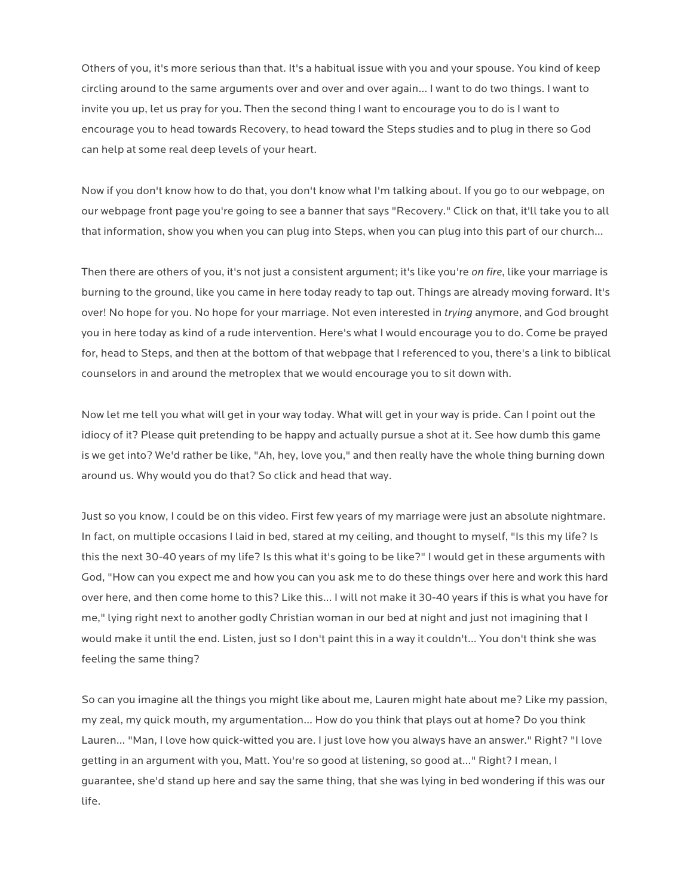Others of you, it's more serious than that. It's a habitual issue with you and your spouse. You kind of keep circling around to the same arguments over and over and over again… I want to do two things. I want to invite you up, let us pray for you. Then the second thing I want to encourage you to do is I want to encourage you to head towards Recovery, to head toward the Steps studies and to plug in there so God can help at some real deep levels of your heart.

Now if you don't know how to do that, you don't know what I'm talking about. If you go to our webpage, on our webpage front page you're going to see a banner that says "Recovery." Click on that, it'll take you to all that information, show you when you can plug into Steps, when you can plug into this part of our church…

Then there are others of you, it's not just a consistent argument; it's like you're *on fire*, like your marriage is burning to the ground, like you came in here today ready to tap out. Things are already moving forward. It's over! No hope for you. No hope for your marriage. Not even interested in *trying* anymore, and God brought you in here today as kind of a rude intervention. Here's what I would encourage you to do. Come be prayed for, head to Steps, and then at the bottom of that webpage that I referenced to you, there's a link to biblical counselors in and around the metroplex that we would encourage you to sit down with.

Now let me tell you what will get in your way today. What will get in your way is pride. Can I point out the idiocy of it? Please quit pretending to be happy and actually pursue a shot at it. See how dumb this game is we get into? We'd rather be like, "Ah, hey, love you," and then really have the whole thing burning down around us. Why would you do that? So click and head that way.

Just so you know, I could be on this video. First few years of my marriage were just an absolute nightmare. In fact, on multiple occasions I laid in bed, stared at my ceiling, and thought to myself, "Is this my life? Is this the next 30-40 years of my life? Is this what it's going to be like?" I would get in these arguments with God, "How can you expect me and how you can you ask me to do these things over here and work this hard over here, and then come home to this? Like this… I will not make it 30-40 years if this is what you have for me," lying right next to another godly Christian woman in our bed at night and just not imagining that I would make it until the end. Listen, just so I don't paint this in a way it couldn't… You don't think she was feeling the same thing?

So can you imagine all the things you might like about me, Lauren might hate about me? Like my passion, my zeal, my quick mouth, my argumentation… How do you think that plays out at home? Do you think Lauren… "Man, I love how quick-witted you are. I just love how you always have an answer." Right? "I love getting in an argument with you, Matt. You're so good at listening, so good at…" Right? I mean, I guarantee, she'd stand up here and say the same thing, that she was lying in bed wondering if this was our life.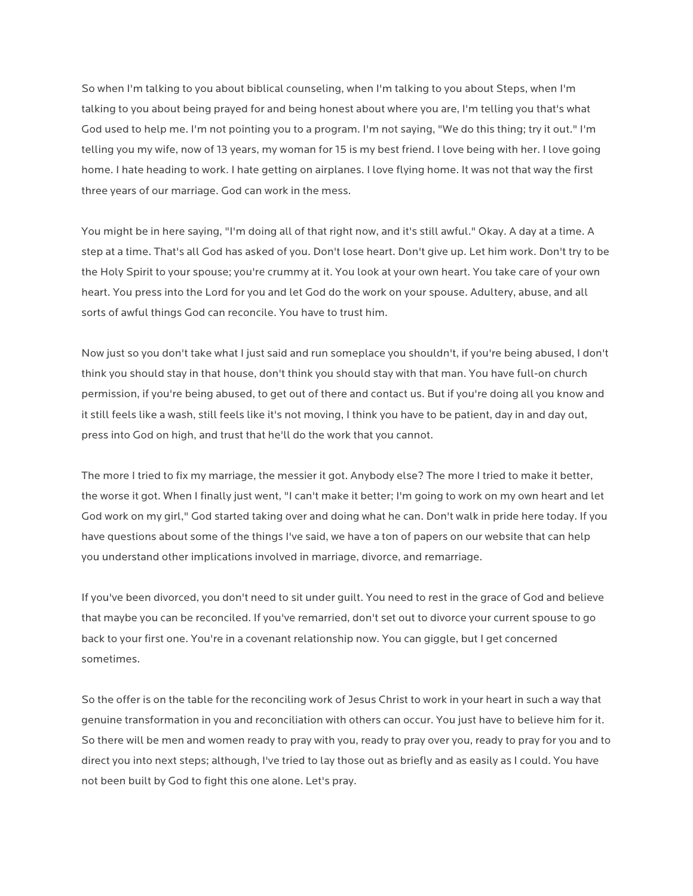So when I'm talking to you about biblical counseling, when I'm talking to you about Steps, when I'm talking to you about being prayed for and being honest about where you are, I'm telling you that's what God used to help me. I'm not pointing you to a program. I'm not saying, "We do this thing; try it out." I'm telling you my wife, now of 13 years, my woman for 15 is my best friend. I love being with her. I love going home. I hate heading to work. I hate getting on airplanes. I love flying home. It was not that way the first three years of our marriage. God can work in the mess.

You might be in here saying, "I'm doing all of that right now, and it's still awful." Okay. A day at a time. A step at a time. That's all God has asked of you. Don't lose heart. Don't give up. Let him work. Don't try to be the Holy Spirit to your spouse; you're crummy at it. You look at your own heart. You take care of your own heart. You press into the Lord for you and let God do the work on your spouse. Adultery, abuse, and all sorts of awful things God can reconcile. You have to trust him.

Now just so you don't take what I just said and run someplace you shouldn't, if you're being abused, I don't think you should stay in that house, don't think you should stay with that man. You have full-on church permission, if you're being abused, to get out of there and contact us. But if you're doing all you know and it still feels like a wash, still feels like it's not moving, I think you have to be patient, day in and day out, press into God on high, and trust that he'll do the work that you cannot.

The more I tried to fix my marriage, the messier it got. Anybody else? The more I tried to make it better, the worse it got. When I finally just went, "I can't make it better; I'm going to work on my own heart and let God work on my girl," God started taking over and doing what he can. Don't walk in pride here today. If you have questions about some of the things I've said, we have a ton of papers on our website that can help you understand other implications involved in marriage, divorce, and remarriage.

If you've been divorced, you don't need to sit under guilt. You need to rest in the grace of God and believe that maybe you can be reconciled. If you've remarried, don't set out to divorce your current spouse to go back to your first one. You're in a covenant relationship now. You can giggle, but I get concerned sometimes.

So the offer is on the table for the reconciling work of Jesus Christ to work in your heart in such a way that genuine transformation in you and reconciliation with others can occur. You just have to believe him for it. So there will be men and women ready to pray with you, ready to pray over you, ready to pray for you and to direct you into next steps; although, I've tried to lay those out as briefly and as easily as I could. You have not been built by God to fight this one alone. Let's pray.